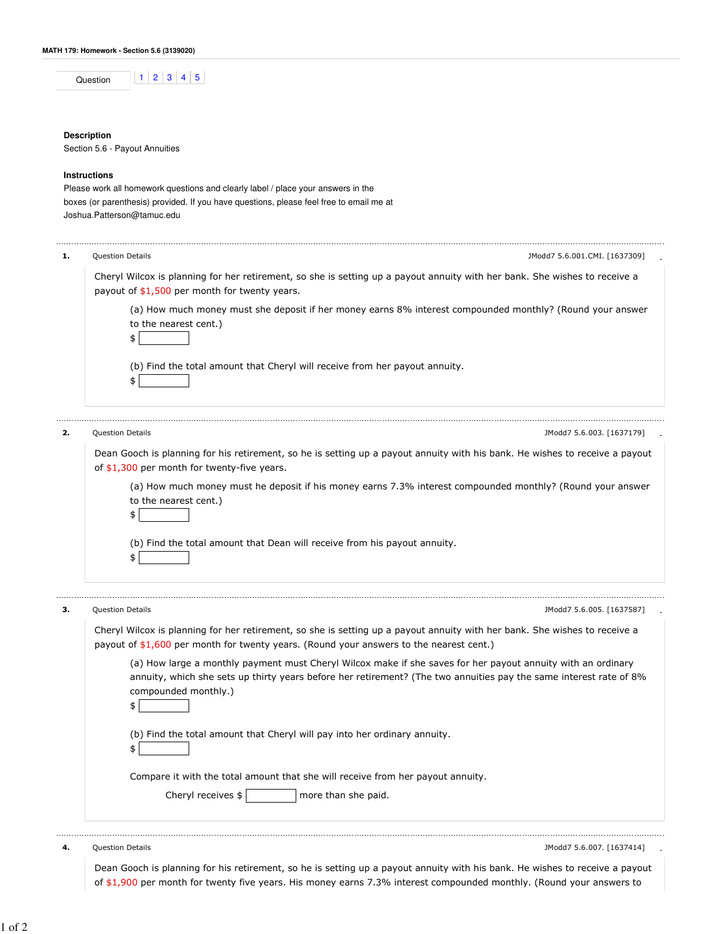| nn.<br>в |  |  |  |
|----------|--|--|--|
|          |  |  |  |

## **Description**

Section 5.6 - Payout Annuities

## **Instructions**

Please work all homework questions and clearly label / place your answers in the boxes (or parenthesis) provided. If you have questions, please feel free to email me at Joshua.Patterson@tamuc.edu

| 1. | <b>Question Details</b><br>JModd7 5.6.001.CMI. [1637309]                                                                                                                                                                                                         |
|----|------------------------------------------------------------------------------------------------------------------------------------------------------------------------------------------------------------------------------------------------------------------|
|    | Cheryl Wilcox is planning for her retirement, so she is setting up a payout annuity with her bank. She wishes to receive a<br>payout of $$1,500$ per month for twenty years.                                                                                     |
|    | (a) How much money must she deposit if her money earns 8% interest compounded monthly? (Round your answer<br>to the nearest cent.)<br>\$                                                                                                                         |
|    | (b) Find the total amount that Cheryl will receive from her payout annuity.<br>\$                                                                                                                                                                                |
|    | <b>Question Details</b><br>JModd7 5.6.003. [1637179]                                                                                                                                                                                                             |
|    | Dean Gooch is planning for his retirement, so he is setting up a payout annuity with his bank. He wishes to receive a payout<br>of \$1,300 per month for twenty-five years.                                                                                      |
|    | (a) How much money must he deposit if his money earns 7.3% interest compounded monthly? (Round your answer<br>to the nearest cent.)<br>\$                                                                                                                        |
|    | (b) Find the total amount that Dean will receive from his payout annuity.<br>\$                                                                                                                                                                                  |
|    | <b>Question Details</b><br>JModd7 5.6.005. [1637587]                                                                                                                                                                                                             |
|    | Cheryl Wilcox is planning for her retirement, so she is setting up a payout annuity with her bank. She wishes to receive a<br>payout of $$1,600$ per month for twenty years. (Round your answers to the nearest cent.)                                           |
|    | (a) How large a monthly payment must Cheryl Wilcox make if she saves for her payout annuity with an ordinary<br>annuity, which she sets up thirty years before her retirement? (The two annuities pay the same interest rate of 8%<br>compounded monthly.)<br>\$ |
|    | (b) Find the total amount that Cheryl will pay into her ordinary annuity.                                                                                                                                                                                        |
|    | Compare it with the total amount that she will receive from her payout annuity.                                                                                                                                                                                  |
|    | Cheryl receives \$<br>more than she paid.                                                                                                                                                                                                                        |
|    | JModd7 5.6.007. [1637414]<br><b>Question Details</b>                                                                                                                                                                                                             |

Dean Gooch is planning for his retirement, so he is setting up a payout annuity with his bank. He wishes to receive a payout of \$1,900 per month for twenty five years. His money earns 7.3% interest compounded monthly. (Round your answers to